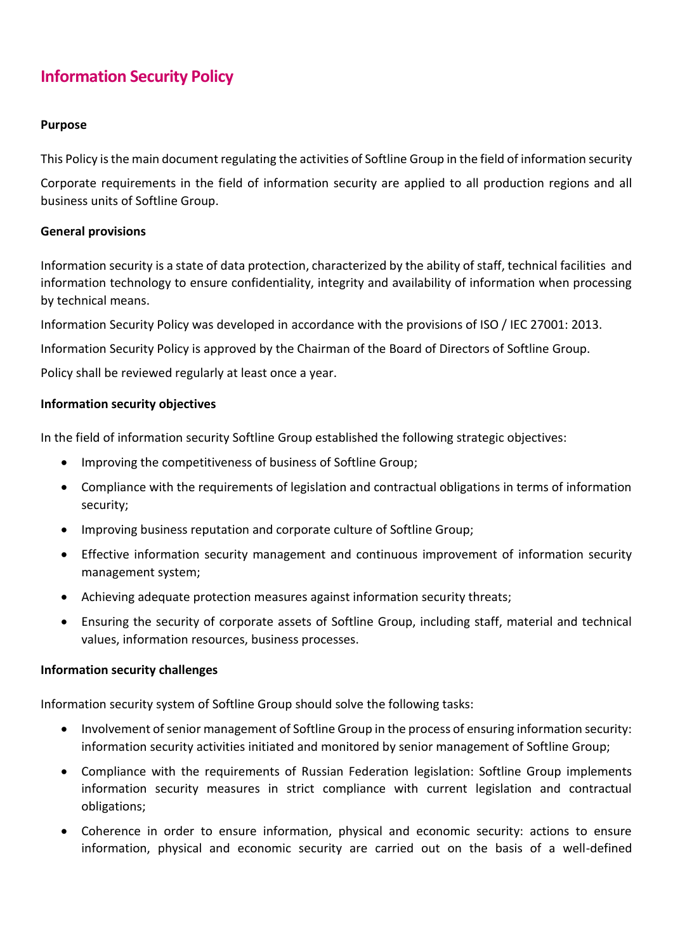# **Information Security Policy**

## **Purpose**

This Policy is the main document regulating the activities of Softline Group in the field of information security

Corporate requirements in the field of information security are applied to all production regions and all business units of Softline Group.

## **General provisions**

Information security is a state of data protection, characterized by the ability of staff, technical facilities and information technology to ensure confidentiality, integrity and availability of information when processing by technical means.

Information Security Policy was developed in accordance with the provisions of ISO / IEC 27001: 2013.

Information Security Policy is approved by the Chairman of the Board of Directors of Softline Group.

Policy shall be reviewed regularly at least once a year.

#### **Information security objectives**

In the field of information security Softline Group established the following strategic objectives:

- Improving the competitiveness of business of Softline Group;
- Compliance with the requirements of legislation and contractual obligations in terms of information security;
- Improving business reputation and corporate culture of Softline Group;
- Effective information security management and continuous improvement of information security management system;
- Achieving adequate protection measures against information security threats;
- Ensuring the security of corporate assets of Softline Group, including staff, material and technical values, information resources, business processes.

#### **Information security challenges**

Information security system of Softline Group should solve the following tasks:

- Involvement of senior management of Softline Group in the process of ensuring information security: information security activities initiated and monitored by senior management of Softline Group;
- Compliance with the requirements of Russian Federation legislation: Softline Group implements information security measures in strict compliance with current legislation and contractual obligations;
- Coherence in order to ensure information, physical and economic security: actions to ensure information, physical and economic security are carried out on the basis of a well-defined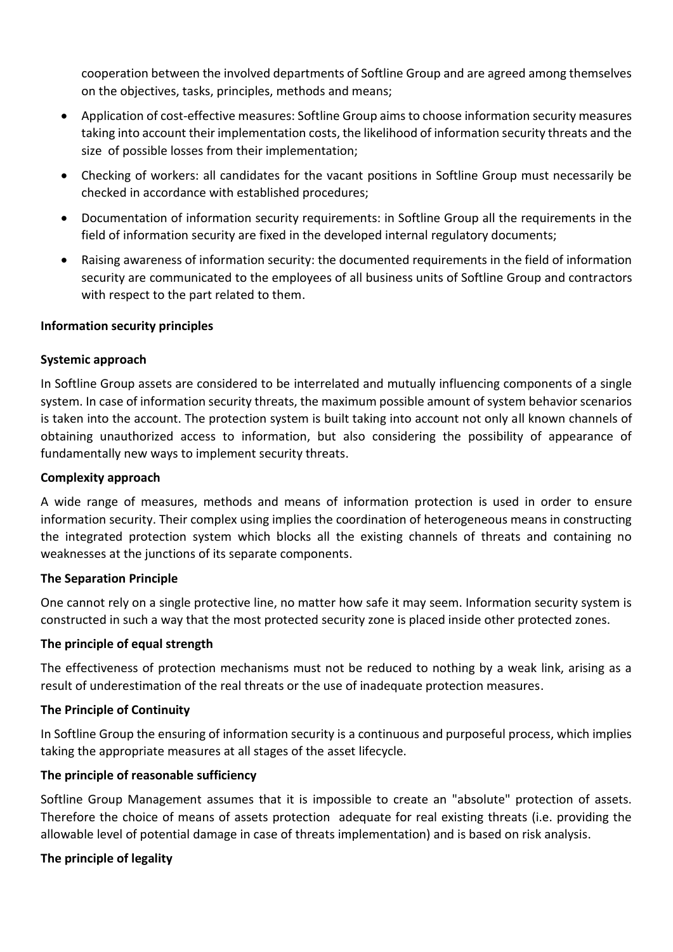cooperation between the involved departments of Softline Group and are agreed among themselves on the objectives, tasks, principles, methods and means;

- Application of cost-effective measures: Softline Group aims to choose information security measures taking into account their implementation costs, the likelihood of information security threats and the size of possible losses from their implementation;
- Checking of workers: all candidates for the vacant positions in Softline Group must necessarily be checked in accordance with established procedures;
- Documentation of information security requirements: in Softline Group all the requirements in the field of information security are fixed in the developed internal regulatory documents;
- Raising awareness of information security: the documented requirements in the field of information security are communicated to the employees of all business units of Softline Group and contractors with respect to the part related to them.

## **Information security principles**

## **Systemic approach**

In Softline Group assets are considered to be interrelated and mutually influencing components of a single system. In case of information security threats, the maximum possible amount of system behavior scenarios is taken into the account. The protection system is built taking into account not only all known channels of obtaining unauthorized access to information, but also considering the possibility of appearance of fundamentally new ways to implement security threats.

#### **Complexity approach**

A wide range of measures, methods and means of information protection is used in order to ensure information security. Their complex using implies the coordination of heterogeneous means in constructing the integrated protection system which blocks all the existing channels of threats and containing no weaknesses at the junctions of its separate components.

#### **The Separation Principle**

One cannot rely on a single protective line, no matter how safe it may seem. Information security system is constructed in such a way that the most protected security zone is placed inside other protected zones.

#### **The principle of equal strength**

The effectiveness of protection mechanisms must not be reduced to nothing by a weak link, arising as a result of underestimation of the real threats or the use of inadequate protection measures.

#### **The Principle of Continuity**

In Softline Group the ensuring of information security is a continuous and purposeful process, which implies taking the appropriate measures at all stages of the asset lifecycle.

#### **The principle of reasonable sufficiency**

Softline Group Management assumes that it is impossible to create an "absolute" protection of assets. Therefore the choice of means of assets protection adequate for real existing threats (i.e. providing the allowable level of potential damage in case of threats implementation) and is based on risk analysis.

#### **The principle of legality**